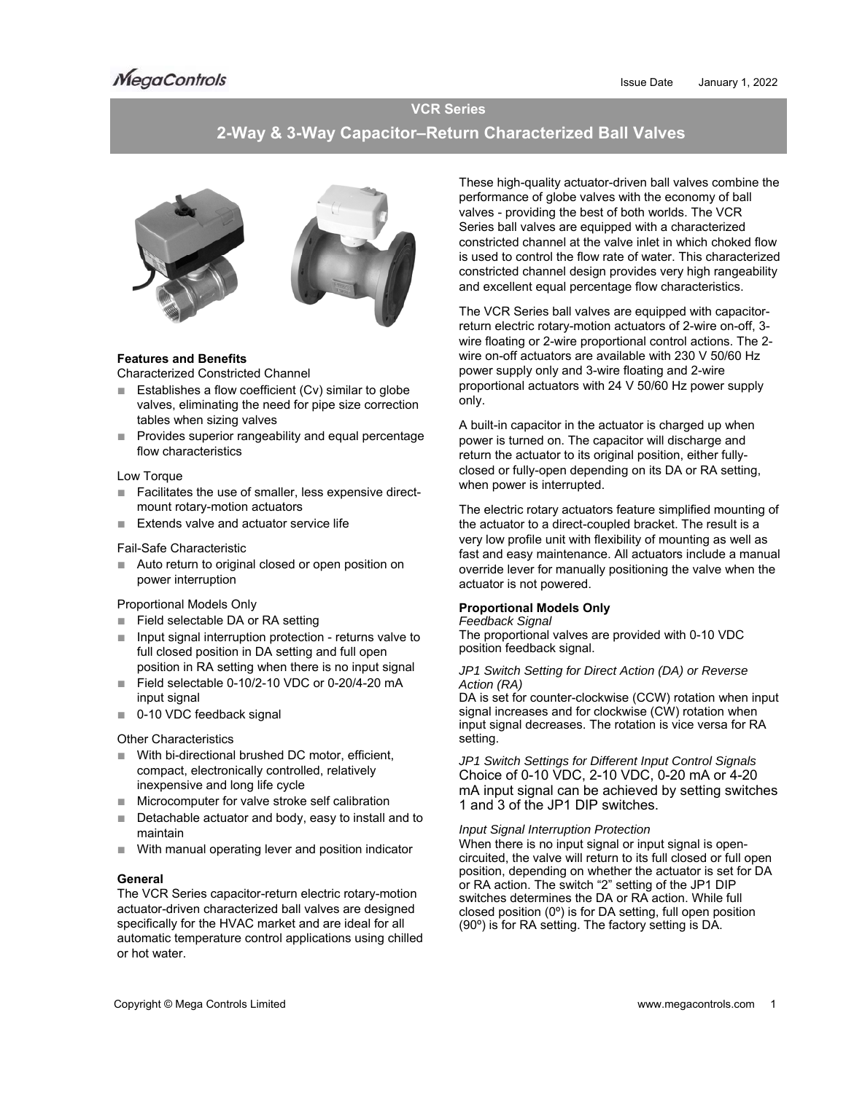# **VCR Series**

# **2-Way & 3-Way Capacitor–Return Characterized Ball Valves**



## **Features and Benefits**

Characterized Constricted Channel

- Establishes a flow coefficient (Cv) similar to globe valves, eliminating the need for pipe size correction tables when sizing valves
- Provides superior rangeability and equal percentage flow characteristics

## Low Torque

- Facilitates the use of smaller, less expensive directmount rotary-motion actuators
- Extends valve and actuator service life

#### Fail-Safe Characteristic

■ Auto return to original closed or open position on power interruption

## Proportional Models Only

- Field selectable DA or RA setting
- Input signal interruption protection returns valve to full closed position in DA setting and full open position in RA setting when there is no input signal
- Field selectable 0-10/2-10 VDC or 0-20/4-20 mA input signal
- 0-10 VDC feedback signal

## Other Characteristics

- With bi-directional brushed DC motor, efficient, compact, electronically controlled, relatively inexpensive and long life cycle
- Microcomputer for valve stroke self calibration
- Detachable actuator and body, easy to install and to maintain
- With manual operating lever and position indicator

## **General**

The VCR Series capacitor-return electric rotary-motion actuator-driven characterized ball valves are designed specifically for the HVAC market and are ideal for all automatic temperature control applications using chilled or hot water.

These high-quality actuator-driven ball valves combine the performance of globe valves with the economy of ball valves - providing the best of both worlds. The VCR Series ball valves are equipped with a characterized constricted channel at the valve inlet in which choked flow is used to control the flow rate of water. This characterized constricted channel design provides very high rangeability and excellent equal percentage flow characteristics.

The VCR Series ball valves are equipped with capacitorreturn electric rotary-motion actuators of 2-wire on-off, 3 wire floating or 2-wire proportional control actions. The 2 wire on-off actuators are available with 230 V 50/60 Hz power supply only and 3-wire floating and 2-wire proportional actuators with 24 V 50/60 Hz power supply only.

A built-in capacitor in the actuator is charged up when power is turned on. The capacitor will discharge and return the actuator to its original position, either fullyclosed or fully-open depending on its DA or RA setting, when power is interrupted.

The electric rotary actuators feature simplified mounting of the actuator to a direct-coupled bracket. The result is a very low profile unit with flexibility of mounting as well as fast and easy maintenance. All actuators include a manual override lever for manually positioning the valve when the actuator is not powered.

## **Proportional Models Only**

#### *Feedback Signal*

The proportional valves are provided with 0-10 VDC position feedback signal.

#### *JP1 Switch Setting for Direct Action (DA) or Reverse Action (RA)*

DA is set for counter-clockwise (CCW) rotation when input signal increases and for clockwise (CW) rotation when input signal decreases. The rotation is vice versa for RA setting.

*JP1 Switch Settings for Different Input Control Signals*  Choice of 0-10 VDC, 2-10 VDC, 0-20 mA or 4-20 mA input signal can be achieved by setting switches 1 and 3 of the JP1 DIP switches.

## *Input Signal Interruption Protection*

When there is no input signal or input signal is opencircuited, the valve will return to its full closed or full open position, depending on whether the actuator is set for DA or RA action. The switch "2" setting of the JP1 DIP switches determines the DA or RA action. While full closed position (0º) is for DA setting, full open position (90º) is for RA setting. The factory setting is DA.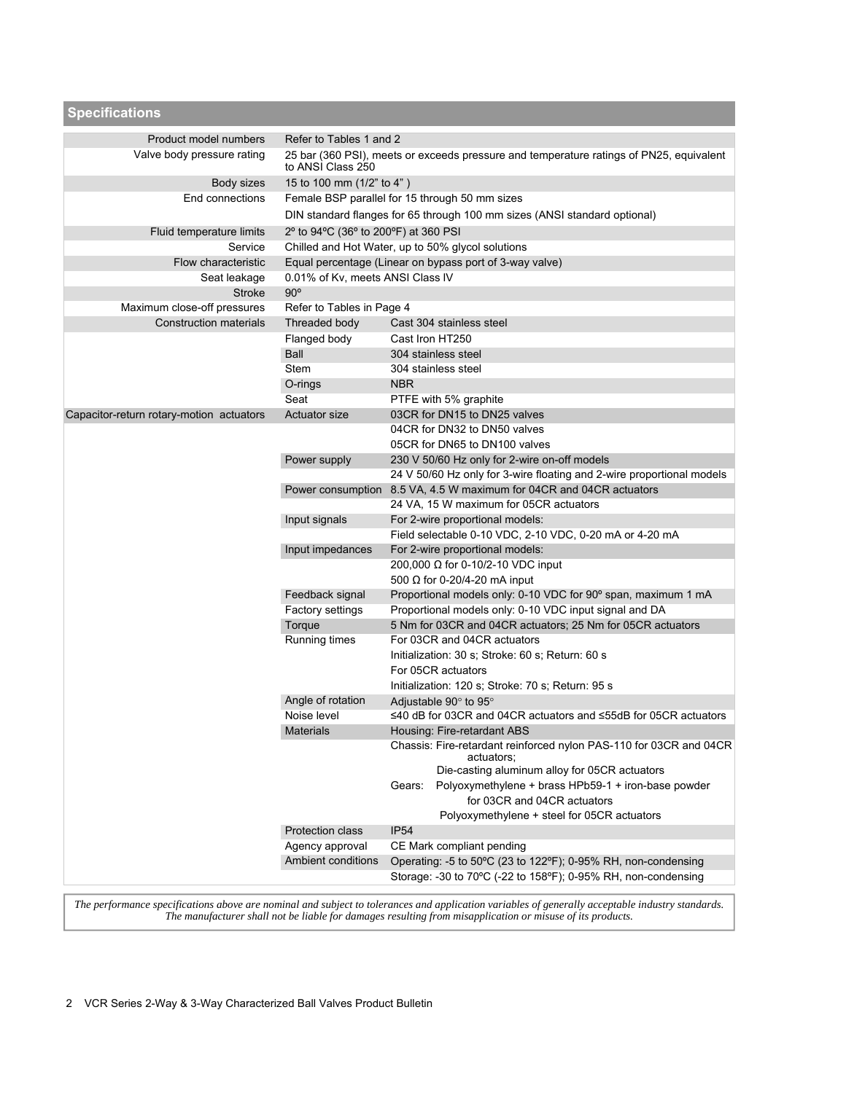| <b>Specifications</b>                    |                                                                                                              |                                                                                                                                               |  |  |  |  |  |  |  |
|------------------------------------------|--------------------------------------------------------------------------------------------------------------|-----------------------------------------------------------------------------------------------------------------------------------------------|--|--|--|--|--|--|--|
| Product model numbers                    | Refer to Tables 1 and 2                                                                                      |                                                                                                                                               |  |  |  |  |  |  |  |
| Valve body pressure rating               | 25 bar (360 PSI), meets or exceeds pressure and temperature ratings of PN25, equivalent<br>to ANSI Class 250 |                                                                                                                                               |  |  |  |  |  |  |  |
| Body sizes                               | 15 to 100 mm (1/2" to 4")                                                                                    |                                                                                                                                               |  |  |  |  |  |  |  |
| End connections                          |                                                                                                              | Female BSP parallel for 15 through 50 mm sizes                                                                                                |  |  |  |  |  |  |  |
|                                          | DIN standard flanges for 65 through 100 mm sizes (ANSI standard optional)                                    |                                                                                                                                               |  |  |  |  |  |  |  |
| Fluid temperature limits                 | 2° to 94°C (36° to 200°F) at 360 PSI                                                                         |                                                                                                                                               |  |  |  |  |  |  |  |
| Service                                  |                                                                                                              | Chilled and Hot Water, up to 50% glycol solutions                                                                                             |  |  |  |  |  |  |  |
| <b>Flow characteristic</b>               |                                                                                                              | Equal percentage (Linear on bypass port of 3-way valve)                                                                                       |  |  |  |  |  |  |  |
| Seat leakage                             | 0.01% of Kv, meets ANSI Class IV                                                                             |                                                                                                                                               |  |  |  |  |  |  |  |
| <b>Stroke</b>                            | $90^\circ$                                                                                                   |                                                                                                                                               |  |  |  |  |  |  |  |
| Maximum close-off pressures              | Refer to Tables in Page 4                                                                                    |                                                                                                                                               |  |  |  |  |  |  |  |
| <b>Construction materials</b>            | Threaded body                                                                                                | Cast 304 stainless steel                                                                                                                      |  |  |  |  |  |  |  |
|                                          | Flanged body                                                                                                 | Cast Iron HT250                                                                                                                               |  |  |  |  |  |  |  |
|                                          | Ball                                                                                                         | 304 stainless steel                                                                                                                           |  |  |  |  |  |  |  |
|                                          | Stem                                                                                                         | 304 stainless steel                                                                                                                           |  |  |  |  |  |  |  |
|                                          | O-rings                                                                                                      | <b>NBR</b><br>PTFE with 5% graphite                                                                                                           |  |  |  |  |  |  |  |
| Capacitor-return rotary-motion actuators | Seat<br><b>Actuator size</b>                                                                                 | 03CR for DN15 to DN25 valves                                                                                                                  |  |  |  |  |  |  |  |
|                                          |                                                                                                              | 04CR for DN32 to DN50 valves                                                                                                                  |  |  |  |  |  |  |  |
|                                          |                                                                                                              | 05CR for DN65 to DN100 valves                                                                                                                 |  |  |  |  |  |  |  |
|                                          | Power supply                                                                                                 | 230 V 50/60 Hz only for 2-wire on-off models                                                                                                  |  |  |  |  |  |  |  |
|                                          |                                                                                                              | 24 V 50/60 Hz only for 3-wire floating and 2-wire proportional models                                                                         |  |  |  |  |  |  |  |
|                                          | Power consumption                                                                                            | 8.5 VA, 4.5 W maximum for 04CR and 04CR actuators                                                                                             |  |  |  |  |  |  |  |
|                                          |                                                                                                              | 24 VA, 15 W maximum for 05CR actuators                                                                                                        |  |  |  |  |  |  |  |
|                                          | Input signals                                                                                                | For 2-wire proportional models:                                                                                                               |  |  |  |  |  |  |  |
|                                          |                                                                                                              | Field selectable 0-10 VDC, 2-10 VDC, 0-20 mA or 4-20 mA                                                                                       |  |  |  |  |  |  |  |
|                                          | Input impedances                                                                                             | For 2-wire proportional models:                                                                                                               |  |  |  |  |  |  |  |
|                                          |                                                                                                              | 200,000 Ω for 0-10/2-10 VDC input                                                                                                             |  |  |  |  |  |  |  |
|                                          |                                                                                                              | 500 $\Omega$ for 0-20/4-20 mA input                                                                                                           |  |  |  |  |  |  |  |
|                                          | Feedback signal                                                                                              | Proportional models only: 0-10 VDC for 90° span, maximum 1 mA                                                                                 |  |  |  |  |  |  |  |
|                                          | Factory settings                                                                                             | Proportional models only: 0-10 VDC input signal and DA                                                                                        |  |  |  |  |  |  |  |
|                                          | Torque                                                                                                       | 5 Nm for 03CR and 04CR actuators; 25 Nm for 05CR actuators                                                                                    |  |  |  |  |  |  |  |
|                                          | Running times                                                                                                | For 03CR and 04CR actuators                                                                                                                   |  |  |  |  |  |  |  |
|                                          |                                                                                                              | Initialization: 30 s; Stroke: 60 s; Return: 60 s<br>For 05CR actuators                                                                        |  |  |  |  |  |  |  |
|                                          |                                                                                                              | Initialization: 120 s; Stroke: 70 s; Return: 95 s                                                                                             |  |  |  |  |  |  |  |
|                                          | Angle of rotation                                                                                            | Adjustable 90° to 95°                                                                                                                         |  |  |  |  |  |  |  |
|                                          | Noise level                                                                                                  | ≤40 dB for 03CR and 04CR actuators and ≤55dB for 05CR actuators                                                                               |  |  |  |  |  |  |  |
|                                          | <b>Materials</b>                                                                                             | Housing: Fire-retardant ABS                                                                                                                   |  |  |  |  |  |  |  |
|                                          |                                                                                                              | Chassis: Fire-retardant reinforced nylon PAS-110 for 03CR and 04CR<br>actuators:                                                              |  |  |  |  |  |  |  |
|                                          |                                                                                                              | Die-casting aluminum alloy for 05CR actuators<br>Polyoxymethylene + brass HPb59-1 + iron-base powder<br>Gears:<br>for 03CR and 04CR actuators |  |  |  |  |  |  |  |
|                                          |                                                                                                              | Polyoxymethylene + steel for 05CR actuators<br><b>IP54</b>                                                                                    |  |  |  |  |  |  |  |
|                                          | <b>Protection class</b><br>Agency approval                                                                   | CE Mark compliant pending                                                                                                                     |  |  |  |  |  |  |  |
|                                          | <b>Ambient conditions</b>                                                                                    | Operating: -5 to 50°C (23 to 122°F); 0-95% RH, non-condensing                                                                                 |  |  |  |  |  |  |  |
|                                          |                                                                                                              | Storage: -30 to 70°C (-22 to 158°F); 0-95% RH, non-condensing                                                                                 |  |  |  |  |  |  |  |

*The performance specifications above are nominal and subject to tolerances and application variables of generally acceptable industry standards. The manufacturer shall not be liable for damages resulting from misapplication or misuse of its products.*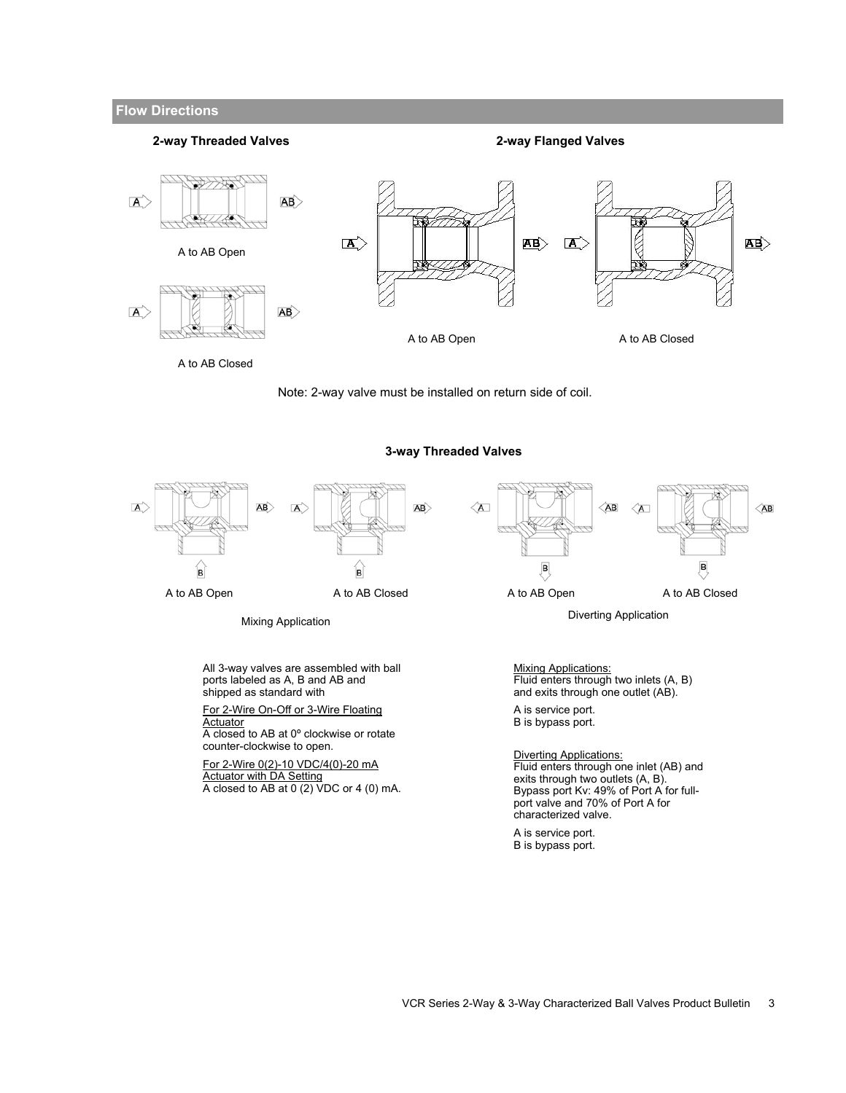## **Flow Directions**

#### **2-way Threaded Valves**

**2-way Flanged Valves** 



Note: 2-way valve must be installed on return side of coil.





**3-way Threaded Valves** 



A closed to AB at 0 (2) VDC or 4 (0) mA.

A is service port. B is bypass port.

characterized valve.

port valve and 70% of Port A for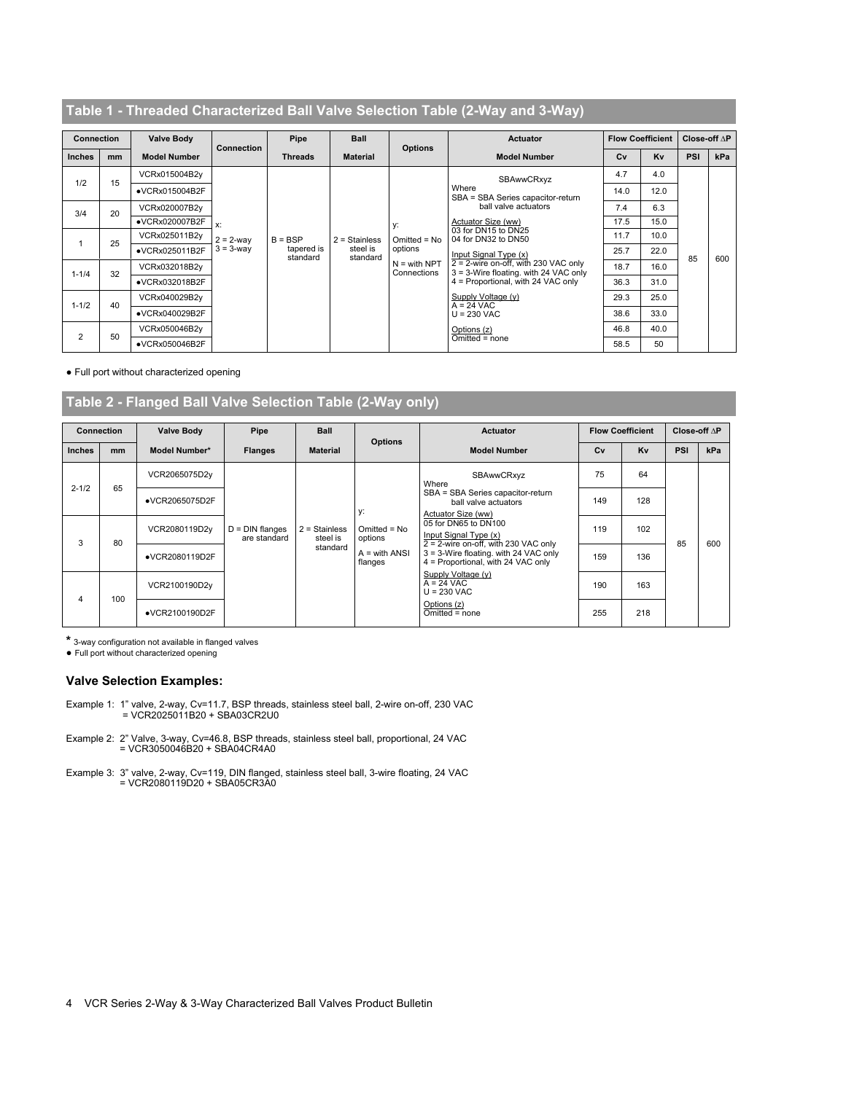# **Table 1 - Threaded Characterized Ball Valve Selection Table (2-Way and 3-Way)**

| <b>Connection</b> |    | <b>Valve Body</b>       |                                       | Pipe                                | <b>Ball</b><br><b>Options</b><br><b>Threads</b><br><b>Material</b> |                                                                  | <b>Actuator</b>                                                                  |      | <b>Flow Coefficient</b> | Close off $\Delta P$ |     |
|-------------------|----|-------------------------|---------------------------------------|-------------------------------------|--------------------------------------------------------------------|------------------------------------------------------------------|----------------------------------------------------------------------------------|------|-------------------------|----------------------|-----|
| <b>Inches</b>     | mm | <b>Model Number</b>     | <b>Connection</b>                     |                                     |                                                                    |                                                                  | <b>Model Number</b>                                                              | Cv   | Kv                      | PSI                  | kPa |
| 1/2               | 15 | VCRx015004B2y           |                                       |                                     | $2 =$ Stainless<br>steel is<br>standard                            | SBAwwCRxyz                                                       |                                                                                  | 4.7  | 4.0                     |                      |     |
|                   |    | •VCRx015004B2F          |                                       |                                     |                                                                    | y:<br>$Omitted = No$<br>options<br>$N =$ with NPT<br>Connections | Where<br>SBA = SBA Series capacitor-return                                       | 14.0 | 12.0                    |                      |     |
| 3/4               | 20 | VCRx020007B2y           | $x$ :<br>$2 = 2$ -way<br>$3 = 3$ -way | $B = BSP$<br>tapered is<br>standard |                                                                    |                                                                  | ball valve actuators                                                             | 7.4  | 6.3                     |                      |     |
|                   |    | •VCRx020007B2F          |                                       |                                     |                                                                    |                                                                  | Actuator Size (ww)                                                               | 17.5 | 15.0                    |                      |     |
|                   | 25 | VCRx025011B2y           |                                       |                                     |                                                                    |                                                                  | 03 for DN15 to DN25<br>04 for DN32 to DN50                                       | 11.7 | 10.0                    |                      |     |
|                   |    | •VCRx025011B2F          |                                       |                                     |                                                                    |                                                                  | Input Signal Type (x)                                                            | 25.7 | 22.0                    | 85                   | 600 |
| $1 - 1/4$         |    | VCRx032018B2y           |                                       |                                     |                                                                    |                                                                  | $2 = 2$ -wire on-off, with 230 VAC only<br>3 = 3-Wire floating. with 24 VAC only | 18.7 | 16.0                    |                      |     |
|                   | 32 | •VCRx032018B2F          |                                       |                                     |                                                                    |                                                                  | 4 = Proportional, with 24 VAC only                                               | 36.3 | 31.0                    |                      |     |
|                   |    | VCRx040029B2y           |                                       |                                     |                                                                    |                                                                  | Supply Voltage (y)<br>$A = 24$ VAC                                               | 29.3 | 25.0                    |                      |     |
| $1 - 1/2$         | 40 | $\bullet$ VCRx040029B2F |                                       |                                     |                                                                    |                                                                  | $U = 230$ VAC                                                                    | 38.6 | 33.0                    |                      |     |
|                   |    | VCRx050046B2y           |                                       |                                     |                                                                    |                                                                  | Options (z)                                                                      | 46.8 | 40.0                    |                      |     |
| $\overline{2}$    | 50 | •VCRx050046B2F          |                                       |                                     |                                                                    |                                                                  | Omitted = none                                                                   | 58.5 | 50                      |                      |     |

● Full port without characterized opening

# **Table 2 - Flanged Ball Valve Selection Table (2-Way only)**

| <b>Connection</b> |     | <b>Valve Body</b> | Pipe                              | <b>Ball</b>                             |                                 | <b>Actuator</b>                                                                                                        |     | <b>Flow Coefficient</b> | Close off $\Delta P$ |     |
|-------------------|-----|-------------------|-----------------------------------|-----------------------------------------|---------------------------------|------------------------------------------------------------------------------------------------------------------------|-----|-------------------------|----------------------|-----|
| <b>Inches</b>     | mm  | Model Number*     | <b>Flanges</b>                    | <b>Material</b>                         | <b>Options</b>                  | <b>Model Number</b>                                                                                                    | Cv  | Kv                      | PSI                  | kPa |
|                   | 65  | VCR2065075D2y     |                                   |                                         |                                 | SBAwwCRxyz<br>Where                                                                                                    | 75  | 64                      |                      |     |
| $2 - 1/2$         |     | •VCR2065075D2F    |                                   | $2 =$ Stainless<br>steel is<br>standard | у:<br>$Omitted = No$<br>options | SBA = SBA Series capacitor-return<br>ball valve actuators<br>Actuator Size (ww)                                        | 149 | 128                     |                      | 600 |
|                   |     | VCR2080119D2y     | $D = DIN$ flanges<br>are standard |                                         |                                 | 05 for DN65 to DN100<br>Input Signal Type (x)                                                                          | 119 | 102                     | 85                   |     |
| 3                 | 80  | •VCR2080119D2F    |                                   |                                         | $A = with ANSI$<br>flanges      | $2 = 2$ -wire on-off, with 230 VAC only<br>3 = 3-Wire floating. with 24 VAC only<br>4 = Proportional, with 24 VAC only | 159 | 136                     |                      |     |
|                   |     | VCR2100190D2y     |                                   |                                         |                                 | Supply Voltage (y)<br>$A = 24$ VAC<br>$U = 230$ VAC                                                                    | 190 | 163                     |                      |     |
| 4                 | 100 | •VCR2100190D2F    |                                   |                                         |                                 | Options (z)<br>Omitted = none                                                                                          | 255 | 218                     |                      |     |

**\*** 3-way configuration not available in flanged valves

● Full port without characterized opening

#### **Valve Selection Examples:**

- Example 1: 1" valve, 2-way, Cv=11.7, BSP threads, stainless steel ball, 2-wire on-off, 230 VAC = VCR2025011B20 + SBA03CR2U0
- Example 2: 2" Valve, 3-way, Cv=46.8, BSP threads, stainless steel ball, proportional, 24 VAC = VCR3050046B20 + SBA04CR4A0
- Example 3: 3" valve, 2-way, Cv=119, DIN flanged, stainless steel ball, 3-wire floating, 24 VAC = VCR2080119D20 + SBA05CR3A0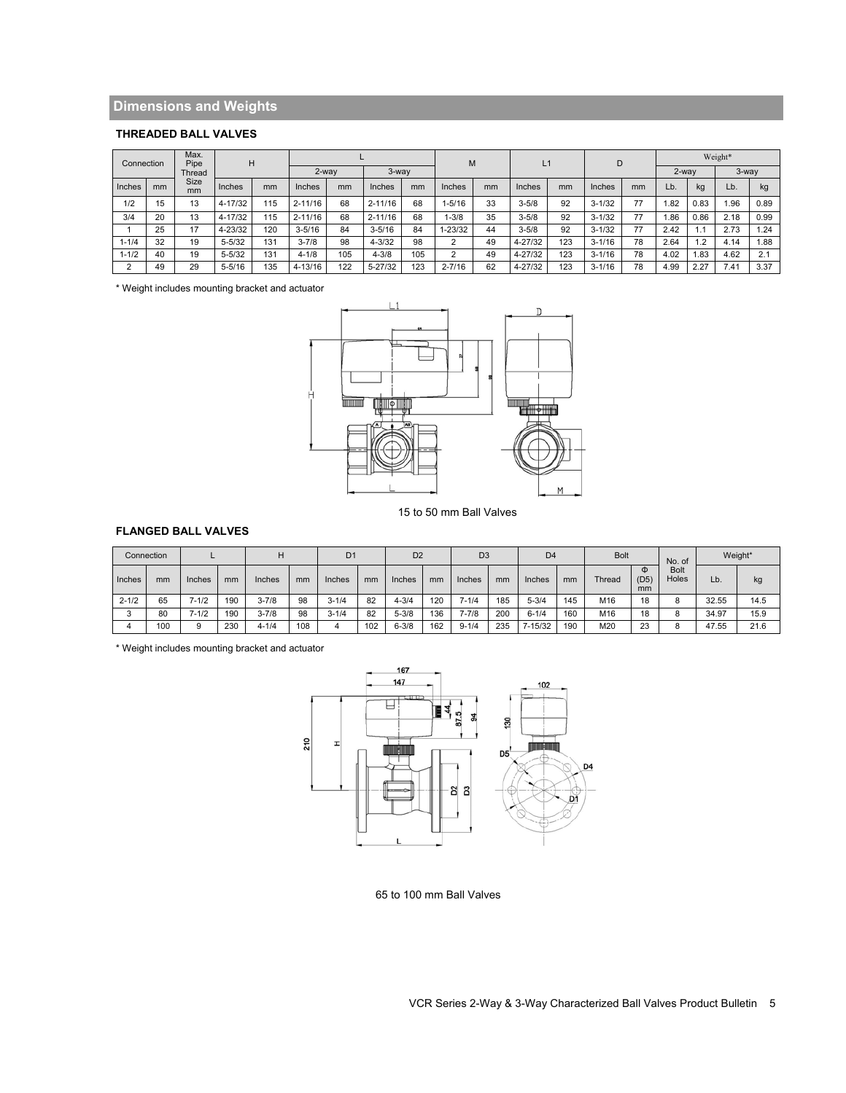# **Dimensions and Weights**

# **THREADED BALL VALVES**

| Max.<br>Pipe<br>Connection<br>Thread |    |                        | Н          |          |             |       |             |          | M          |    | L1          |     | D          |    | Weight* |      |      |      |  |
|--------------------------------------|----|------------------------|------------|----------|-------------|-------|-------------|----------|------------|----|-------------|-----|------------|----|---------|------|------|------|--|
|                                      |    |                        |            | $2$ -wav |             | 3-way |             | $2$ -way |            |    |             |     |            |    | $3-Way$ |      |      |      |  |
| <b>Inches</b>                        | mm | Size<br>m <sub>m</sub> | Inches     | mm       | Inches      | mm    | Inches      | mm       | Inches     | mm | Inches      | mm  | Inches     | mm | Lb.     | kg   | Lb.  | kg   |  |
| 1/2                                  | 15 | 13                     | 4-17/32    | 115      | $2 - 11/16$ | 68    | $2 - 11/16$ | 68       | $1 - 5/16$ | 33 | $3 - 5/8$   | 92  | $3 - 1/32$ | 77 | .82     | 0.83 | 1.96 | 0.89 |  |
| 3/4                                  | 20 | 13                     | 4-17/32    | 115      | $2 - 11/16$ | 68    | $2 - 11/16$ | 68       | $-3/8$     | 35 | $3 - 5/8$   | 92  | $3 - 1/32$ | 77 | .86     | 0.86 | 2.18 | 0.99 |  |
|                                      | 25 | 17                     | 4-23/32    | 120      | $3 - 5/16$  | 84    | $3 - 5/16$  | 84       | 1-23/32    | 44 | $3 - 5/8$   | 92  | $3 - 1/32$ | 77 | 2.42    | 1.1  | 2.73 | .24  |  |
| $1 - 1/4$                            | 32 | 19                     | $5 - 5/32$ | 131      | $3 - 7/8$   | 98    | $4 - 3/32$  | 98       | っ          | 49 | 4-27/32     | 123 | $3 - 1/16$ | 78 | 2.64    | .2   | 4.14 | .88. |  |
| $1 - 1/2$                            | 40 | 19                     | $5 - 5/32$ | 131      | $4 - 1/8$   | 105   | $4 - 3/8$   | 105      | っ          | 49 | $4 - 27/32$ | 123 | $3 - 1/16$ | 78 | 4.02    | .83  | 4.62 | 2.1  |  |
|                                      | 49 | 29                     | $5 - 5/16$ | 135      | $4 - 13/16$ | 122   | 5-27/32     | 123      | $2 - 7/16$ | 62 | $4 - 27/32$ | 123 | $3 - 1/16$ | 78 | 4.99    | 2.27 | 7.41 | 3.37 |  |

\* Weight includes mounting bracket and actuator



15 to 50 mm Ball Valves

## **FLANGED BALL VALVES**

|           | Connection |           |     |           |     | D <sub>1</sub> |     | D <sub>2</sub> |     | D <sub>3</sub> |     | D <sub>4</sub> |     | <b>Bolt</b> |                 | No. of               |       | Weight* |
|-----------|------------|-----------|-----|-----------|-----|----------------|-----|----------------|-----|----------------|-----|----------------|-----|-------------|-----------------|----------------------|-------|---------|
| Inches    | mm         | Inches    | mm  | Inches    | mm  | Inches         | mm  | Inches         | mm  | Inches         | mm  | Inches         | mm  | Thread      | Φ<br>(D5)<br>mm | <b>Bolt</b><br>Holes | Lb.   | kg      |
| $2 - 1/2$ | 65         | $7 - 1/2$ | 190 | $3 - 7/8$ | 98  | $3 - 1/4$      | 82  | $4 - 3/4$      | 120 | $7 - 1/4$      | 185 | $5 - 3/4$      | 145 | M16         | 18              |                      | 32.55 | 14.5    |
| ◠         | 80         | $7 - 1/2$ | 190 | $3 - 7/8$ | 98  | $3 - 1/4$      | 82  | $5 - 3/8$      | 136 | $7 - 7/8$      | 200 | $6 - 1/4$      | 160 | M16         | 18              |                      | 34.97 | 15.9    |
|           | 100        |           | 230 | $4 - 1/4$ | 108 |                | 102 | $6 - 3/8$      | 162 | $9 - 1/4$      | 235 | 7-15/32        | 190 | M20         | 23              |                      | 47.55 | 21.6    |

\* Weight includes mounting bracket and actuator



65 to 100 mm Ball Valves